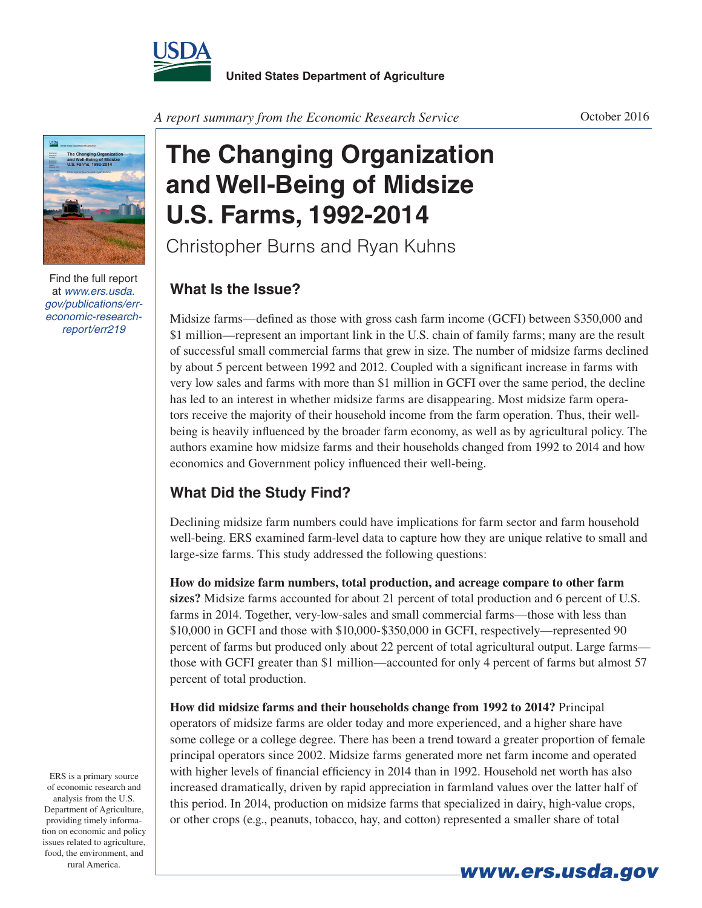



Find the full report at *www.ers.usda. gov/publications/erreconomic-researchreport/err219*

*A report summary from the Economic Research Service*

## **The Changing Organization and Well-Being of Midsize U.S. Farms, 1992-2014**

Christopher Burns and Ryan Kuhns

## **What Is the Issue?**

Midsize farms—defined as those with gross cash farm income (GCFI) between \$350,000 and \$1 million—represent an important link in the U.S. chain of family farms; many are the result of successful small commercial farms that grew in size. The number of midsize farms declined by about 5 percent between 1992 and 2012. Coupled with a significant increase in farms with very low sales and farms with more than \$1 million in GCFI over the same period, the decline has led to an interest in whether midsize farms are disappearing. Most midsize farm operators receive the majority of their household income from the farm operation. Thus, their wellbeing is heavily influenced by the broader farm economy, as well as by agricultural policy. The authors examine how midsize farms and their households changed from 1992 to 2014 and how economics and Government policy influenced their well-being.

## **What Did the Study Find?**

Declining midsize farm numbers could have implications for farm sector and farm household well-being. ERS examined farm-level data to capture how they are unique relative to small and large-size farms. This study addressed the following questions:

**How do midsize farm numbers, total production, and acreage compare to other farm sizes?** Midsize farms accounted for about 21 percent of total production and 6 percent of U.S. farms in 2014. Together, very-low-sales and small commercial farms—those with less than \$10,000 in GCFI and those with \$10,000-\$350,000 in GCFI, respectively—represented 90 percent of farms but produced only about 22 percent of total agricultural output. Large farms those with GCFI greater than \$1 million—accounted for only 4 percent of farms but almost 57 percent of total production.

**How did midsize farms and their households change from 1992 to 2014?** Principal operators of midsize farms are older today and more experienced, and a higher share have some college or a college degree. There has been a trend toward a greater proportion of female principal operators since 2002. Midsize farms generated more net farm income and operated with higher levels of financial efficiency in 2014 than in 1992. Household net worth has also increased dramatically, driven by rapid appreciation in farmland values over the latter half of this period. In 2014, production on midsize farms that specialized in dairy, high-value crops, or other crops (e.g., peanuts, tobacco, hay, and cotton) represented a smaller share of total

ERS is a primary source of economic research and analysis from the U.S. Department of Agriculture, providing timely information on economic and policy issues related to agriculture, food, the environment, and